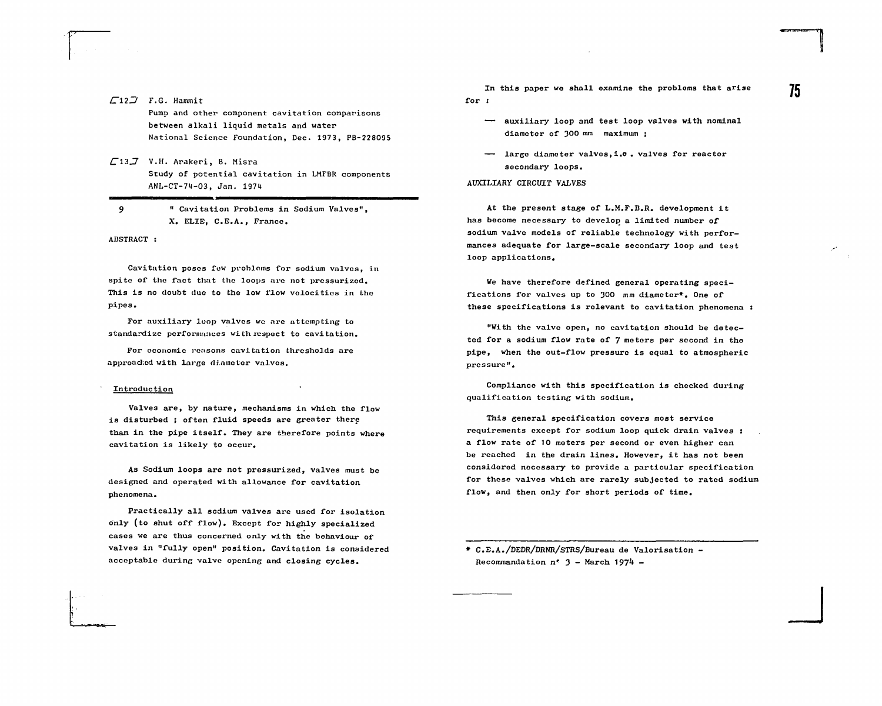- ZT12-/ F.G. Hammit Pump and other component cavitation comparisons between alkali liquid metals and water National Science Foundation, Dec. 1973, PB-228095
- $\sqrt{13J}$  V.H. Arakeri, B. Misra Study of potential cavitation in LMFBR components ANL-CT-74-03, Jan. 1974
- 9 " Cavitation Problems in Sodium Valves", X. ELIE, C.E.A., Franco.

ABSTRACT :

Cavitation poses few problems for sodium valves, in spite of the fact that the loops are not pressurized. This is no doubt due to the low flow velocities in the pipes.

For auxiliary loop valves wo are attempting to standardize performances with respect to cavitation.

For economic reasons cavitation thresholds are approached with large diameter valves.

### **Introduction**

Valves are, by nature, mechanisms in which the flow is disturbed ; often fluid speeds are greater there than in the pipe itself. They are therefore points where cavitation is likely to occur.

As Sodium loops are not pressurized, valves must be designed and operated with allowance for cavitation phenomena.

Practically all sodium valves are used for isolation only (to shut off flow). Except for highly specialized cases we are thus concerned only with the behaviour of valves in "fully open" position. Cavitation is considered acceptable during valve opening and closing cycles.

In this paper we shall examine the problems that arise for :

- auxiliary loop and test loop valves with nominal diameter of 300 mm maximum ;
- largo diameter valves,i.o . valves for reactor secondary loops.

# AUXILIARY CIRCUIT VALVES

At the present stage of L.M.F.B.R. development it has become necessary to develop a limited number of sodium valve models of reliable technology with performances adequate for large-scale secondary loop and test loop applications.

We have therefore defined general operating specifications for valves up to 300 mm diameter\*. One of these specifications is relevant to cavitation phenomena :

"With the valve open, no cavitation should be detected for a sodium flow rate of 7 meters per second in the pipe, when the out-flow pressure is equal to atmospheric pressure".

Compliance with this specification is checked during qualification testing with sodium.

This general specification covers most service requirements except for sodium loop quick drain valves : a flow rate of 10 meters per second or even higher can be reached in the drain lines. However, it has not been considered necessary to provide a particular specification for these valves which are rarely subjected to rated sodium flow, and then only for short periods of time.

\* C.E.A./DEDR/DRNR/STRS/Bureau de Valorisation - Recommandation  $n^e$  3 - March 1974 -

**75**

**j**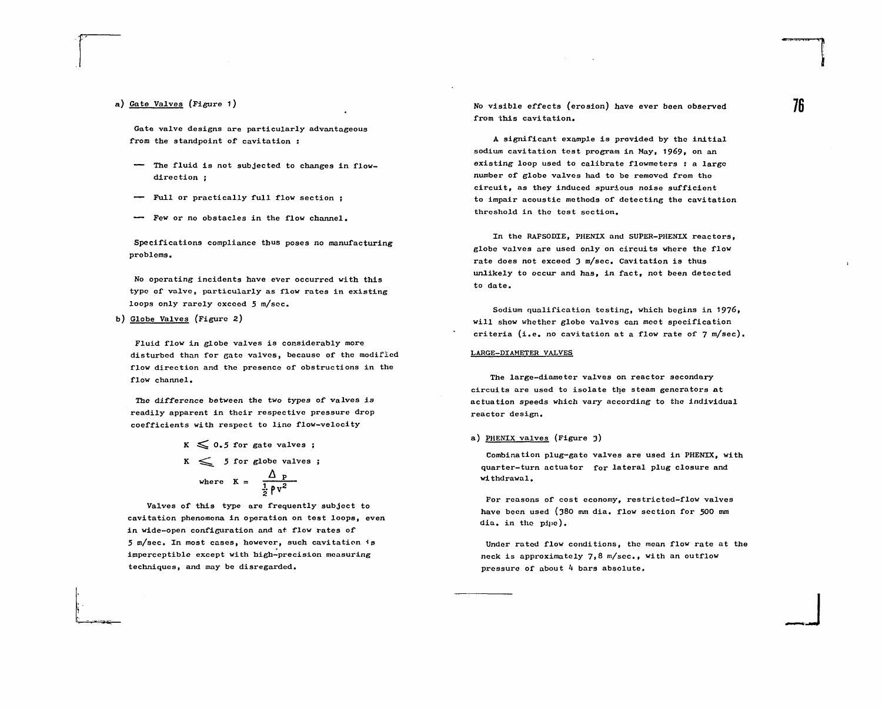# a) Gate Valves (Figure 1)

Gate valve designs are particularly advantageous from the standpoint of cavitation :

- The fluid is not subjected to changes in flowdirection ;
- Full or practically full flow section ;
- Few or no obstacles in the flow channel.

Specifications compliance thus poses no manufacturing problems.

No operating incidents have ever occurred with this type of valve, particularly as flow rates in existing loops only rarely exceed 5 m/sec.

## b) Globe Valves (Figure Z)

Fluid flow in globe valves is considerably more disturbed than for gate valves, because of the modified flow direction and the presence of obstructions in the flow channel.

The difference between the two types of valves is readily apparent in their respective pressure drop coefficients with respect to line flow-velocity

$$
K \leq 0.5
$$
 for gate values ;

$$
\mathbf{A} \leq \mathbf{A} \text{ for } \mathbf{B} \text{ is a function of } \mathbf{A}
$$

where 
$$
K = \frac{\Delta p}{\frac{1}{2} \rho v^2}
$$

Valves of this type are frequently subject to cavitation phenomena in operation on test loops, even in wide-open configuration and at flow rates of 5 m/sec. In most cases, however, such cavitation is imperceptible except with high-precision measuring techniques, and may be disregarded.

No visible effects (erosion) have ever been observed from 'this cavitation.

A significant example is provided by the initial sodium cavitation test program in May, 1969, on an existing loop used to calibrate flowmeters : a large number of globe valves had to be removed from the circuit, as they induced spurious noise sufficient to impair acoustic methods of detecting the cavitation threshold in the tost section.

In the RAFSODIE, PHENIX and SUPER-PHENIX reactors, globe valves are used only on circuits where the flow rate does not exceed 3 m/sec. Cavitation is thus unlikely to occur and has, in fact, not been detected to date.

Sodium qualification testing, which begins in 1976. will show whether globe valves can meet specification criteria (i.e. no cavitation at a flow rate of 7 m/sec).

# LARGE-DIAMETER VALVES

The large-diameter valves on reactor secondary circuits are used to isolate the steam generators at actuation speeds which vary according to the individual reactor design.

### a) PHENIX valves (Figure 3)

Combination plug—gate valves are used in PHENIX, with quarter-turn actuator for lateral plug closure and withdrawal.

For reasons of cost economy, restricted-flow valves have been used (38O mm dia. flow section for 500 mm dia. in the pipe).

Under rated flow conditions, tho mean flow rate at the neck is approximately 7,8 m/sec., with an outflow pressure of about  $4$  bars absolute.

**j**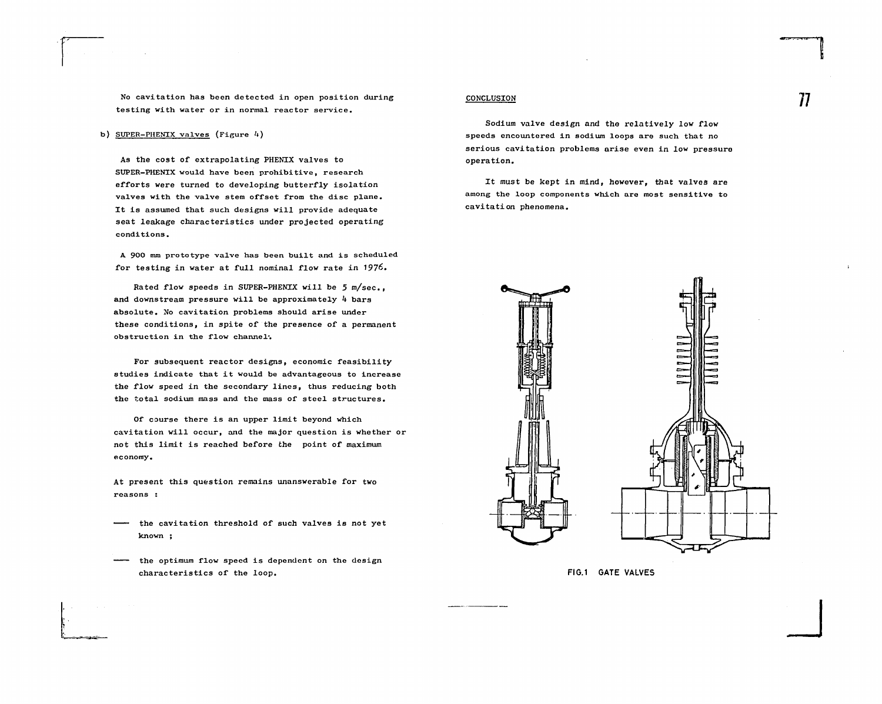No cavitation has been detected in open position during testing with water or in normal reactor service.

b) SUPER-PHENIX valves (Figure  $4$ )

As the cost of extrapolating PHENIX valves to SUPER-PHENIX would have been prohibitive, research efforts were turned to developing butterfly isolation valves with the valve stem offset from the disc plane. It is assumed that such designs will provide adequate seat leakage characteristics under projected operating conditions.

A 900 mm prototype valve has been built and is scheduled for testing in water at full nominal flow rate in 1976.

Rated flow speeds in SUPER-PHENIX will be 5 m/sec, and downstream pressure will be approximately  $4$  bars absolute. No cavitation problems should arise under these conditions, in spite of the presence of a permanent obstruction in the flow channel-.

For subsequent reactor designs, economic feasibility studies indicate that it would be advantageous to increase the flow speed in the secondary lines, thus reducing both the total sodium mass and the mass of steel structures.

Of course there is an upper limit beyond which cavitation will occur, and the major question is whether or not this limit is reached before the point of maximum economy.

At present this question remains unanswerable for two reasons :

- the cavitation threshold of such valves is not yet known ;
- the optimum flow speed is dependent on the design characteristics of the loop.

### CONCLUSION

Sodium valve design and the relatively low flow speeds encountered in sodium loops are such that no serious cavitation problems arise even in low pressure operation.

It must be kept in mind, however, that valves are among the loop components which are most sensitive to cavitation phenomena.



**FIG.1 GATE VALVES**

**J**